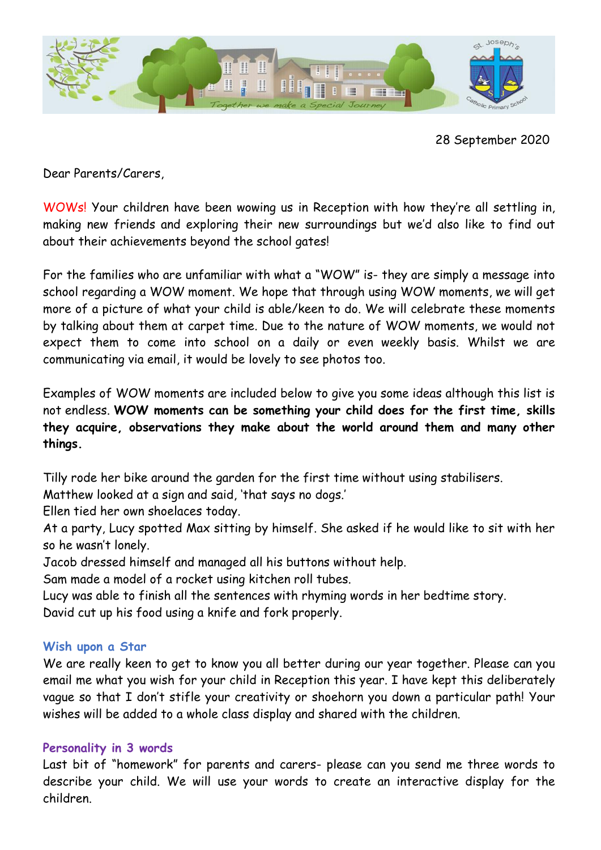

28 September 2020

Dear Parents/Carers,

WOWs! Your children have been wowing us in Reception with how they're all settling in, making new friends and exploring their new surroundings but we'd also like to find out about their achievements beyond the school gates!

For the families who are unfamiliar with what a "WOW" is- they are simply a message into school regarding a WOW moment. We hope that through using WOW moments, we will get more of a picture of what your child is able/keen to do. We will celebrate these moments by talking about them at carpet time. Due to the nature of WOW moments, we would not expect them to come into school on a daily or even weekly basis. Whilst we are communicating via email, it would be lovely to see photos too.

Examples of WOW moments are included below to give you some ideas although this list is not endless. **WOW moments can be something your child does for the first time, skills they acquire, observations they make about the world around them and many other things.** 

Tilly rode her bike around the garden for the first time without using stabilisers.

Matthew looked at a sign and said, 'that says no dogs.'

Ellen tied her own shoelaces today.

At a party, Lucy spotted Max sitting by himself. She asked if he would like to sit with her so he wasn't lonely.

Jacob dressed himself and managed all his buttons without help.

Sam made a model of a rocket using kitchen roll tubes.

Lucy was able to finish all the sentences with rhyming words in her bedtime story.

David cut up his food using a knife and fork properly.

## **Wish upon a Star**

We are really keen to get to know you all better during our year together. Please can you email me what you wish for your child in Reception this year. I have kept this deliberately vague so that I don't stifle your creativity or shoehorn you down a particular path! Your wishes will be added to a whole class display and shared with the children.

## **Personality in 3 words**

Last bit of "homework" for parents and carers- please can you send me three words to describe your child. We will use your words to create an interactive display for the children.